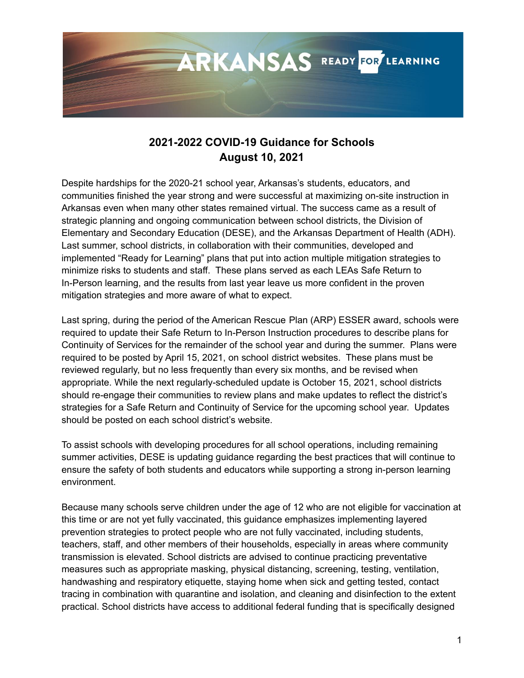

# **2021-2022 COVID-19 Guidance for Schools August 10, 2021**

Despite hardships for the 2020-21 school year, Arkansas's students, educators, and communities finished the year strong and were successful at maximizing on-site instruction in Arkansas even when many other states remained virtual. The success came as a result of strategic planning and ongoing communication between school districts, the Division of Elementary and Secondary Education (DESE), and the Arkansas Department of Health (ADH). Last summer, school districts, in collaboration with their communities, developed and implemented "Ready for Learning" plans that put into action multiple mitigation strategies to minimize risks to students and staff. These plans served as each LEAs Safe Return to In-Person learning, and the results from last year leave us more confident in the proven mitigation strategies and more aware of what to expect.

Last spring, during the period of the American Rescue Plan (ARP) ESSER award, schools were required to update their Safe Return to In-Person Instruction procedures to describe plans for Continuity of Services for the remainder of the school year and during the summer. Plans were required to be posted by April 15, 2021, on school district websites. These plans must be reviewed regularly, but no less frequently than every six months, and be revised when appropriate. While the next regularly-scheduled update is October 15, 2021, school districts should re-engage their communities to review plans and make updates to reflect the district's strategies for a Safe Return and Continuity of Service for the upcoming school year. Updates should be posted on each school district's website.

To assist schools with developing procedures for all school operations, including remaining summer activities, DESE is updating guidance regarding the best practices that will continue to ensure the safety of both students and educators while supporting a strong in-person learning environment.

Because many schools serve children under the age of 12 who are not eligible for vaccination at this time or are not yet fully vaccinated, this guidance emphasizes implementing layered prevention strategies to protect people who are not fully vaccinated, including students, teachers, staff, and other members of their households, especially in areas where community transmission is elevated. School districts are advised to continue practicing preventative measures such as appropriate masking, physical distancing, screening, testing, ventilation, handwashing and respiratory etiquette, staying home when sick and getting tested, contact tracing in combination with quarantine and isolation, and cleaning and disinfection to the extent practical. School districts have access to additional federal funding that is specifically designed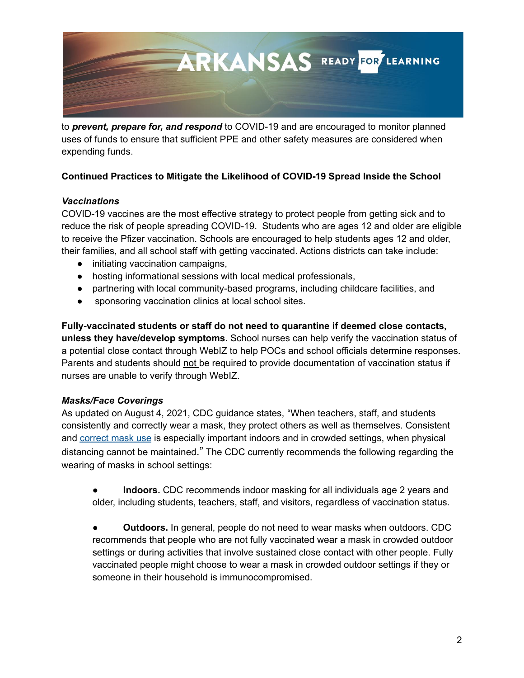

to *prevent, prepare for, and respond* to COVID-19 and are encouraged to monitor planned uses of funds to ensure that sufficient PPE and other safety measures are considered when expending funds.

# **Continued Practices to Mitigate the Likelihood of COVID-19 Spread Inside the School**

## *Vaccinations*

COVID-19 vaccines are the most effective strategy to protect people from getting sick and to reduce the risk of people spreading COVID-19. Students who are ages 12 and older are eligible to receive the Pfizer vaccination. Schools are encouraged to help students ages 12 and older, their families, and all school staff with getting vaccinated. Actions districts can take include:

- initiating vaccination campaigns,
- hosting informational sessions with local medical professionals,
- partnering with local community-based programs, including childcare facilities, and
- sponsoring vaccination clinics at local school sites.

**Fully-vaccinated students or staff do not need to quarantine if deemed close contacts, unless they have/develop symptoms.** School nurses can help verify the vaccination status of a potential close contact through WebIZ to help POCs and school officials determine responses. Parents and students should not be required to provide documentation of vaccination status if nurses are unable to verify through WebIZ.

# *Masks/Face Coverings*

As updated on August 4, 2021, CDC guidance states, "When teachers, staff, and students consistently and correctly wear a mask, they protect others as well as themselves. Consistent and [correct](https://www.cdc.gov/coronavirus/2019-ncov/prevent-getting-sick/how-to-wear-cloth-face-coverings.html) mask use is especially important indoors and in crowded settings, when physical distancing cannot be maintained." The CDC currently recommends the following regarding the wearing of masks in school settings:

**Indoors.** CDC recommends indoor masking for all individuals age 2 years and older, including students, teachers, staff, and visitors, regardless of vaccination status.

● **Outdoors.** In general, people do not need to wear masks when outdoors. CDC recommends that people who are not fully vaccinated wear a mask in crowded outdoor settings or during activities that involve sustained close contact with other people. Fully vaccinated people might choose to wear a mask in crowded outdoor settings if they or someone in their household is immunocompromised.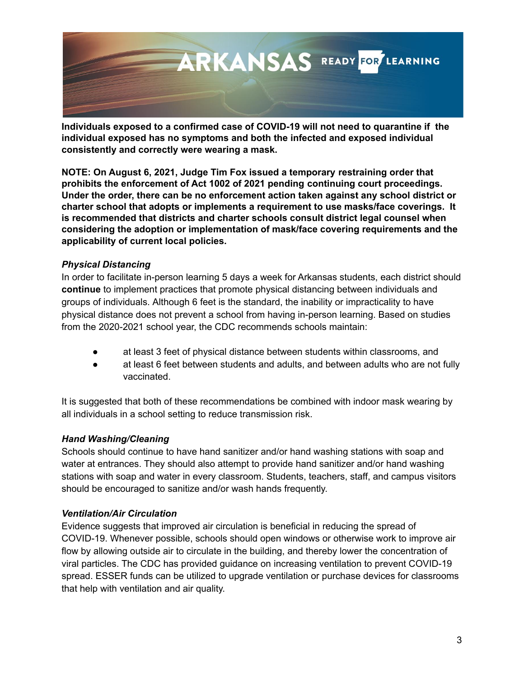

**Individuals exposed to a confirmed case of COVID-19 will not need to quarantine if the individual exposed has no symptoms and both the infected and exposed individual consistently and correctly were wearing a mask.**

**NOTE: On August 6, 2021, Judge Tim Fox issued a temporary restraining order that prohibits the enforcement of Act 1002 of 2021 pending continuing court proceedings. Under the order, there can be no enforcement action taken against any school district or charter school that adopts or implements a requirement to use masks/face coverings. It is recommended that districts and charter schools consult district legal counsel when considering the adoption or implementation of mask/face covering requirements and the applicability of current local policies.**

## *Physical Distancing*

In order to facilitate in-person learning 5 days a week for Arkansas students, each district should **continue** to implement practices that promote physical distancing between individuals and groups of individuals. Although 6 feet is the standard, the inability or impracticality to have physical distance does not prevent a school from having in-person learning. Based on studies from the 2020-2021 school year, the CDC recommends schools maintain:

- at least 3 feet of physical distance between students within classrooms, and
- at least 6 feet between students and adults, and between adults who are not fully vaccinated.

It is suggested that both of these recommendations be combined with indoor mask wearing by all individuals in a school setting to reduce transmission risk.

#### *Hand Washing/Cleaning*

Schools should continue to have hand sanitizer and/or hand washing stations with soap and water at entrances. They should also attempt to provide hand sanitizer and/or hand washing stations with soap and water in every classroom. Students, teachers, staff, and campus visitors should be encouraged to sanitize and/or wash hands frequently.

# *Ventilation/Air Circulation*

Evidence suggests that improved air circulation is beneficial in reducing the spread of COVID-19. Whenever possible, schools should open windows or otherwise work to improve air flow by allowing outside air to circulate in the building, and thereby lower the concentration of viral particles. The CDC has provided guidance on increasing [ventilation](https://www.cdc.gov/coronavirus/2019-ncov/community/ventilation.html) to prevent COVID-19 spread. ESSER funds can be utilized to upgrade ventilation or purchase devices for classrooms that help with ventilation and air quality.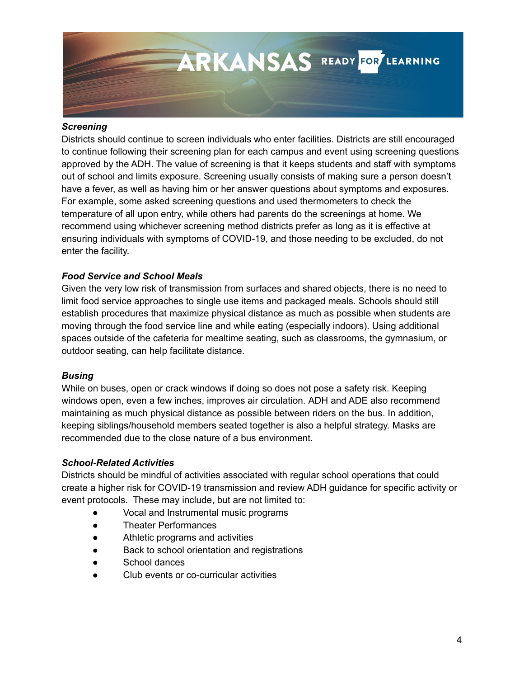

#### *Screening*

Districts should continue to screen individuals who enter facilities. Districts are still encouraged to continue following their screening plan for each campus and event using screening questions approved by the ADH. The value of screening is that it keeps students and staff with symptoms out of school and limits exposure. Screening usually consists of making sure a person doesn't have a fever, as well as having him or her answer questions about symptoms and exposures. For example, some asked screening questions and used thermometers to check the temperature of all upon entry, while others had parents do the screenings at home. We recommend using whichever screening method districts prefer as long as it is effective at ensuring individuals with symptoms of COVID-19, and those needing to be excluded, do not enter the facility.

#### *Food Service and School Meals*

Given the very low risk of transmission from surfaces and shared objects, there is no need to limit food service approaches to single use items and packaged meals. Schools should still establish procedures that maximize physical distance as much as possible when students are moving through the food service line and while eating (especially indoors). Using additional spaces outside of the cafeteria for mealtime seating, such as classrooms, the gymnasium, or outdoor seating, can help facilitate distance.

#### *Busing*

While on buses, open or crack windows if doing so does not pose a safety risk. Keeping windows open, even a few inches, improves air circulation. ADH and ADE also recommend maintaining as much physical distance as possible between riders on the bus. In addition, keeping siblings/household members seated together is also a helpful strategy. Masks are recommended due to the close nature of a bus environment.

#### *School-Related Activities*

Districts should be mindful of activities associated with regular school operations that could create a higher risk for COVID-19 transmission and review ADH guidance for specific activity or event protocols. These may include, but are not limited to:

- Vocal and Instrumental music programs
- Theater Performances
- Athletic programs and activities
- Back to school orientation and registrations
- School dances
- Club events or co-curricular activities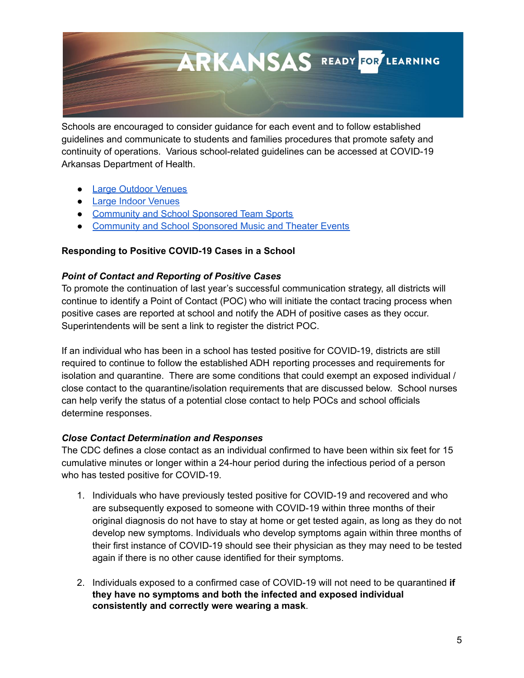

Schools are encouraged to consider guidance for each event and to follow established guidelines and communicate to students and families procedures that promote safety and continuity of operations. Various school-related guidelines can be accessed at [COVID-19](https://www.healthy.arkansas.gov/programs-services/topics/novel-coronavirus) Arkansas [Department](https://www.healthy.arkansas.gov/programs-services/topics/novel-coronavirus) of Health.

- Large [Outdoor](https://www.healthy.arkansas.gov/images/uploads/pdf/Large_Outdoor_VenueGuidanceFinal3.31.21.pdf) Venues
- Large Indoor [Venues](https://www.healthy.arkansas.gov/images/uploads/pdf/LargeIndoorVenueGuidanceFinal3.31.21.pdf)
- [Community](https://www.healthy.arkansas.gov/images/uploads/pdf/guidance_team_sports.pdf) and School Sponsored Team Sports
- [Community](https://www.healthy.arkansas.gov/images/uploads/pdf/MusicTheaterCommunitySchoolGuidanceFinal4.2.21.pdf) and School Sponsored Music and Theater Events

## **Responding to Positive COVID-19 Cases in a School**

## *Point of Contact and Reporting of Positive Cases*

To promote the continuation of last year's successful communication strategy, all districts will continue to identify a Point of Contact (POC) who will initiate the contact tracing process when positive cases are reported at school and notify the ADH of positive cases as they occur. Superintendents will be sent a link to register the district POC.

If an individual who has been in a school has tested positive for COVID-19, districts are still required to continue to follow the established ADH reporting processes and requirements for isolation and quarantine. There are some conditions that could exempt an exposed individual / close contact to the quarantine/isolation requirements that are discussed below. School nurses can help verify the status of a potential close contact to help POCs and school officials determine responses.

#### *Close Contact Determination and Responses*

The CDC defines a close contact as an individual confirmed to have been within six feet for 15 cumulative minutes or longer within a 24-hour period during the infectious period of a person who has tested positive for COVID-19.

- 1. Individuals who have previously tested positive for COVID-19 and recovered and who are subsequently exposed to someone with COVID-19 within three months of their original diagnosis do not have to stay at home or get tested again, as long as they do not develop new symptoms. Individuals who develop symptoms again within three months of their first instance of COVID-19 should see their physician as they may need to be tested again if there is no other cause identified for their symptoms.
- 2. Individuals exposed to a confirmed case of COVID-19 will not need to be quarantined **if they have no symptoms and both the infected and exposed individual consistently and correctly were wearing a mask**.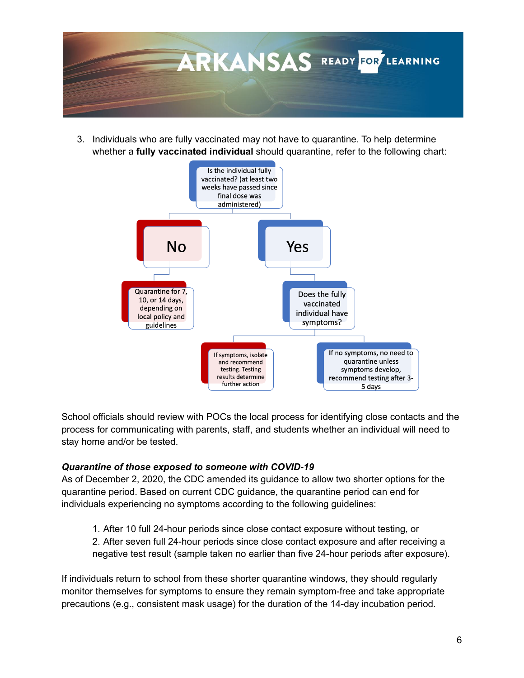

3. Individuals who are fully vaccinated may not have to quarantine. To help determine whether a **fully vaccinated individual** should quarantine, refer to the following chart:



School officials should review with POCs the local process for identifying close contacts and the process for communicating with parents, staff, and students whether an individual will need to stay home and/or be tested.

#### *Quarantine of those exposed to someone with COVID-19*

As of December 2, 2020, the CDC amended its guidance to allow two shorter options for the quarantine period. Based on current CDC guidance, the quarantine period can end for individuals experiencing no symptoms according to the following guidelines:

1. After 10 full 24-hour periods since close contact exposure without testing, or 2. After seven full 24-hour periods since close contact exposure and after receiving a negative test result (sample taken no earlier than five 24-hour periods after exposure).

If individuals return to school from these shorter quarantine windows, they should regularly monitor themselves for symptoms to ensure they remain symptom-free and take appropriate precautions (e.g., consistent mask usage) for the duration of the 14-day incubation period.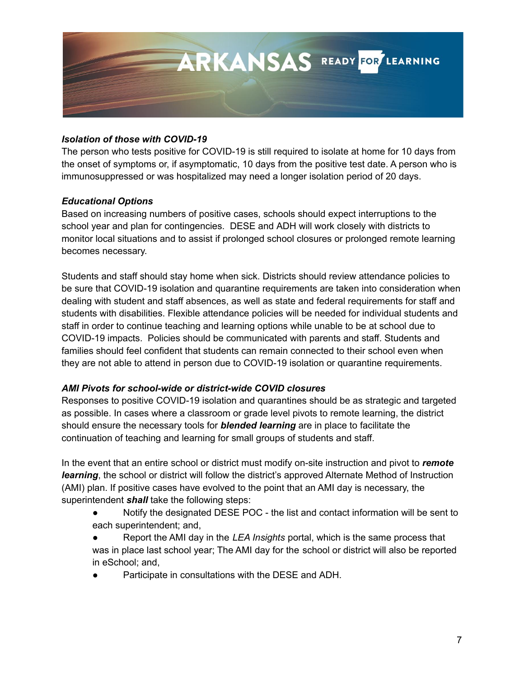

### *Isolation of those with COVID-19*

The person who tests positive for COVID-19 is still required to isolate at home for 10 days from the onset of symptoms or, if asymptomatic, 10 days from the positive test date. A person who is immunosuppressed or was hospitalized may need a longer isolation period of 20 days.

## *Educational Options*

Based on increasing numbers of positive cases, schools should expect interruptions to the school year and plan for contingencies. DESE and ADH will work closely with districts to monitor local situations and to assist if prolonged school closures or prolonged remote learning becomes necessary.

Students and staff should stay home when sick. Districts should review attendance policies to be sure that COVID-19 isolation and quarantine requirements are taken into consideration when dealing with student and staff absences, as well as state and federal requirements for staff and students with disabilities. Flexible attendance policies will be needed for individual students and staff in order to continue teaching and learning options while unable to be at school due to COVID-19 impacts. Policies should be communicated with parents and staff. Students and families should feel confident that students can remain connected to their school even when they are not able to attend in person due to COVID-19 isolation or quarantine requirements.

# *AMI Pivots for school-wide or district-wide COVID closures*

Responses to positive COVID-19 isolation and quarantines should be as strategic and targeted as possible. In cases where a classroom or grade level pivots to remote learning, the district should ensure the necessary tools for *blended learning* are in place to facilitate the continuation of teaching and learning for small groups of students and staff.

In the event that an entire school or district must modify on-site instruction and pivot to *remote learning*, the school or district will follow the district's approved Alternate Method of Instruction (AMI) plan. If positive cases have evolved to the point that an AMI day is necessary, the superintendent *shall* take the following steps:

- Notify the designated DESE POC the list and contact information will be sent to each superintendent; and,
- Report the AMI day in the *LEA Insights* portal, which is the same process that was in place last school year; The AMI day for the school or district will also be reported in eSchool; and,
- Participate in consultations with the DESE and ADH.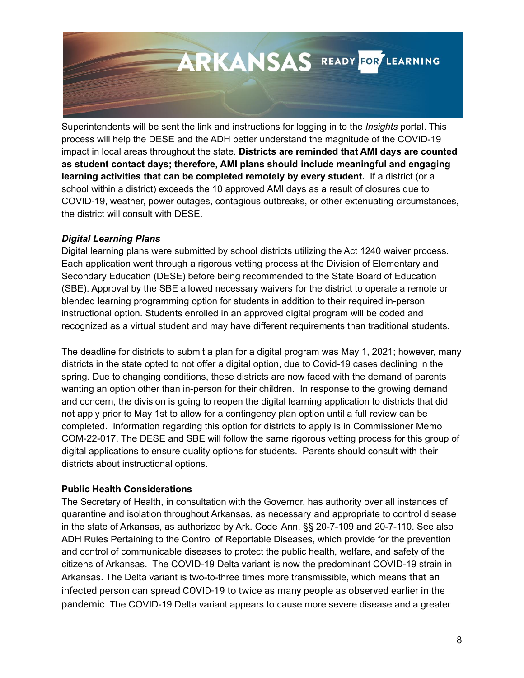

Superintendents will be sent the link and instructions for logging in to the *Insights* portal. This process will help the DESE and the ADH better understand the magnitude of the COVID-19 impact in local areas throughout the state. **Districts are reminded that AMI days are counted as student contact days; therefore, AMI plans should include meaningful and engaging learning activities that can be completed remotely by every student.** If a district (or a school within a district) exceeds the 10 approved AMI days as a result of closures due to COVID-19, weather, power outages, contagious outbreaks, or other extenuating circumstances, the district will consult with DESE.

## *Digital Learning Plans*

Digital learning plans were submitted by school districts utilizing the Act 1240 waiver process. Each application went through a rigorous vetting process at the Division of Elementary and Secondary Education (DESE) before being recommended to the State Board of Education (SBE). Approval by the SBE allowed necessary waivers for the district to operate a remote or blended learning programming option for students in addition to their required in-person instructional option. Students enrolled in an approved digital program will be coded and recognized as a virtual student and may have different requirements than traditional students.

The deadline for districts to submit a plan for a digital program was May 1, 2021; however, many districts in the state opted to not offer a digital option, due to Covid-19 cases declining in the spring. Due to changing conditions, these districts are now faced with the demand of parents wanting an option other than in-person for their children. In response to the growing demand and concern, the division is going to reopen the digital learning application to districts that did not apply prior to May 1st to allow for a contingency plan option until a full review can be completed. Information regarding this option for districts to apply is in Commissioner Memo COM-22-017. The DESE and SBE will follow the same rigorous vetting process for this group of digital applications to ensure quality options for students. Parents should consult with their districts about instructional options.

# **Public Health Considerations**

The Secretary of Health, in consultation with the Governor, has authority over all instances of quarantine and isolation throughout Arkansas, as necessary and appropriate to control disease in the state of Arkansas, as authorized by Ark. Code Ann. §§ 20-7-109 and 20-7-110. See also ADH Rules Pertaining to the Control of Reportable Diseases, which provide for the prevention and control of communicable diseases to protect the public health, welfare, and safety of the citizens of Arkansas. The COVID-19 Delta variant is now the predominant COVID-19 strain in Arkansas. The Delta variant is two-to-three times more transmissible, which means that an infected person can spread COVID-19 to twice as many people as observed earlier in the pandemic. The COVID-19 Delta variant appears to cause more severe disease and a greater